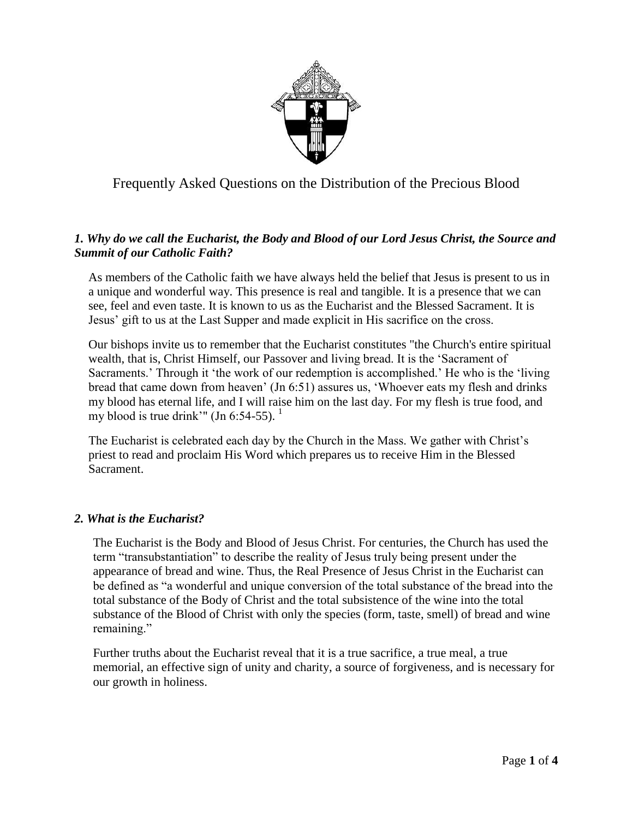

Frequently Asked Questions on the Distribution of the Precious Blood

# *1. Why do we call the Eucharist, the Body and Blood of our Lord Jesus Christ, the Source and Summit of our Catholic Faith?*

As members of the Catholic faith we have always held the belief that Jesus is present to us in a unique and wonderful way. This presence is real and tangible. It is a presence that we can see, feel and even taste. It is known to us as the Eucharist and the Blessed Sacrament. It is Jesus' gift to us at the Last Supper and made explicit in His sacrifice on the cross.

Our bishops invite us to remember that the Eucharist constitutes "the Church's entire spiritual wealth, that is, Christ Himself, our Passover and living bread. It is the 'Sacrament of Sacraments.' Through it 'the work of our redemption is accomplished.' He who is the 'living bread that came down from heaven' (Jn 6:51) assures us, 'Whoever eats my flesh and drinks my blood has eternal life, and I will raise him on the last day. For my flesh is true food, and my blood is true drink'" (Jn 6:54-55).  $<sup>1</sup>$ </sup>

The Eucharist is celebrated each day by the Church in the Mass. We gather with Christ's priest to read and proclaim His Word which prepares us to receive Him in the Blessed Sacrament.

## *2. What is the Eucharist?*

The Eucharist is the Body and Blood of Jesus Christ. For centuries, the Church has used the term "transubstantiation" to describe the reality of Jesus truly being present under the appearance of bread and wine. Thus, the Real Presence of Jesus Christ in the Eucharist can be defined as "a wonderful and unique conversion of the total substance of the bread into the total substance of the Body of Christ and the total subsistence of the wine into the total substance of the Blood of Christ with only the species (form, taste, smell) of bread and wine remaining."

Further truths about the Eucharist reveal that it is a true sacrifice, a true meal, a true memorial, an effective sign of unity and charity, a source of forgiveness, and is necessary for our growth in holiness.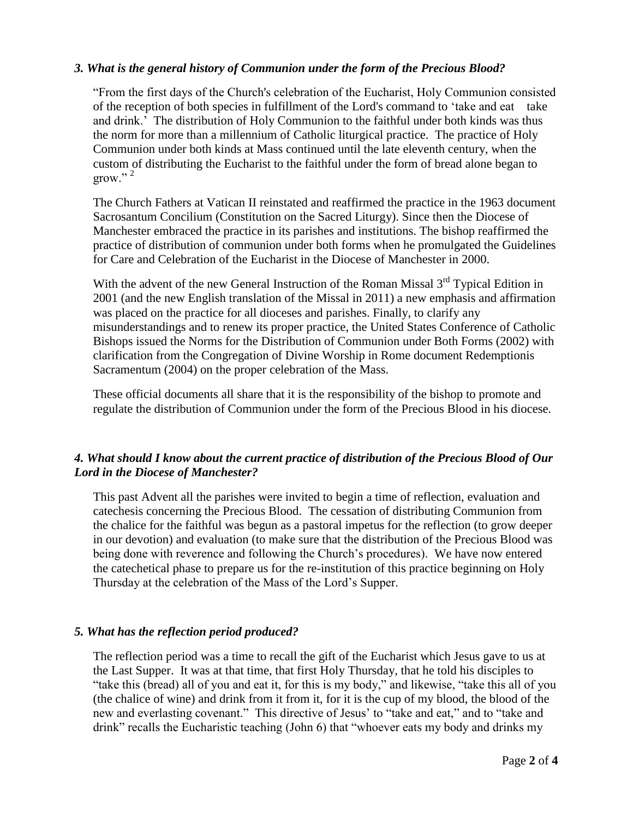#### *3. What is the general history of Communion under the form of the Precious Blood?*

"From the first days of the Church's celebration of the Eucharist, Holy Communion consisted of the reception of both species in fulfillment of the Lord's command to 'take and eat take and drink.' The distribution of Holy Communion to the faithful under both kinds was thus the norm for more than a millennium of Catholic liturgical practice. The practice of Holy Communion under both kinds at Mass continued until the late eleventh century, when the custom of distributing the Eucharist to the faithful under the form of bread alone began to grow." $^2$ 

The Church Fathers at Vatican II reinstated and reaffirmed the practice in the 1963 document Sacrosantum Concilium (Constitution on the Sacred Liturgy). Since then the Diocese of Manchester embraced the practice in its parishes and institutions. The bishop reaffirmed the practice of distribution of communion under both forms when he promulgated the Guidelines for Care and Celebration of the Eucharist in the Diocese of Manchester in 2000.

With the advent of the new General Instruction of the Roman Missal  $3<sup>rd</sup>$  Typical Edition in 2001 (and the new English translation of the Missal in 2011) a new emphasis and affirmation was placed on the practice for all dioceses and parishes. Finally, to clarify any misunderstandings and to renew its proper practice, the United States Conference of Catholic Bishops issued the Norms for the Distribution of Communion under Both Forms (2002) with clarification from the Congregation of Divine Worship in Rome document Redemptionis Sacramentum (2004) on the proper celebration of the Mass.

These official documents all share that it is the responsibility of the bishop to promote and regulate the distribution of Communion under the form of the Precious Blood in his diocese.

## *4. What should I know about the current practice of distribution of the Precious Blood of Our Lord in the Diocese of Manchester?*

This past Advent all the parishes were invited to begin a time of reflection, evaluation and catechesis concerning the Precious Blood. The cessation of distributing Communion from the chalice for the faithful was begun as a pastoral impetus for the reflection (to grow deeper in our devotion) and evaluation (to make sure that the distribution of the Precious Blood was being done with reverence and following the Church's procedures). We have now entered the catechetical phase to prepare us for the re-institution of this practice beginning on Holy Thursday at the celebration of the Mass of the Lord's Supper.

## *5. What has the reflection period produced?*

The reflection period was a time to recall the gift of the Eucharist which Jesus gave to us at the Last Supper. It was at that time, that first Holy Thursday, that he told his disciples to "take this (bread) all of you and eat it, for this is my body," and likewise, "take this all of you (the chalice of wine) and drink from it from it, for it is the cup of my blood, the blood of the new and everlasting covenant." This directive of Jesus' to "take and eat," and to "take and drink" recalls the Eucharistic teaching (John 6) that "whoever eats my body and drinks my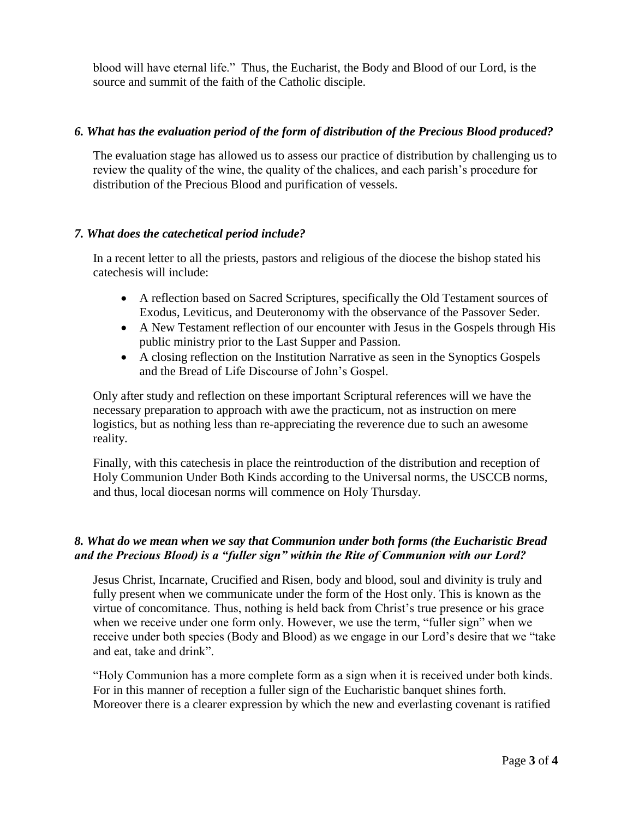blood will have eternal life." Thus, the Eucharist, the Body and Blood of our Lord, is the source and summit of the faith of the Catholic disciple.

#### *6. What has the evaluation period of the form of distribution of the Precious Blood produced?*

The evaluation stage has allowed us to assess our practice of distribution by challenging us to review the quality of the wine, the quality of the chalices, and each parish's procedure for distribution of the Precious Blood and purification of vessels.

#### *7. What does the catechetical period include?*

In a recent letter to all the priests, pastors and religious of the diocese the bishop stated his catechesis will include:

- A reflection based on Sacred Scriptures, specifically the Old Testament sources of Exodus, Leviticus, and Deuteronomy with the observance of the Passover Seder.
- A New Testament reflection of our encounter with Jesus in the Gospels through His public ministry prior to the Last Supper and Passion.
- A closing reflection on the Institution Narrative as seen in the Synoptics Gospels and the Bread of Life Discourse of John's Gospel.

Only after study and reflection on these important Scriptural references will we have the necessary preparation to approach with awe the practicum, not as instruction on mere logistics, but as nothing less than re-appreciating the reverence due to such an awesome reality.

Finally, with this catechesis in place the reintroduction of the distribution and reception of Holy Communion Under Both Kinds according to the Universal norms, the USCCB norms, and thus, local diocesan norms will commence on Holy Thursday.

## *8. What do we mean when we say that Communion under both forms (the Eucharistic Bread and the Precious Blood) is a "fuller sign" within the Rite of Communion with our Lord?*

Jesus Christ, Incarnate, Crucified and Risen, body and blood, soul and divinity is truly and fully present when we communicate under the form of the Host only. This is known as the virtue of concomitance. Thus, nothing is held back from Christ's true presence or his grace when we receive under one form only. However, we use the term, "fuller sign" when we receive under both species (Body and Blood) as we engage in our Lord's desire that we "take and eat, take and drink".

"Holy Communion has a more complete form as a sign when it is received under both kinds. For in this manner of reception a fuller sign of the Eucharistic banquet shines forth. Moreover there is a clearer expression by which the new and everlasting covenant is ratified